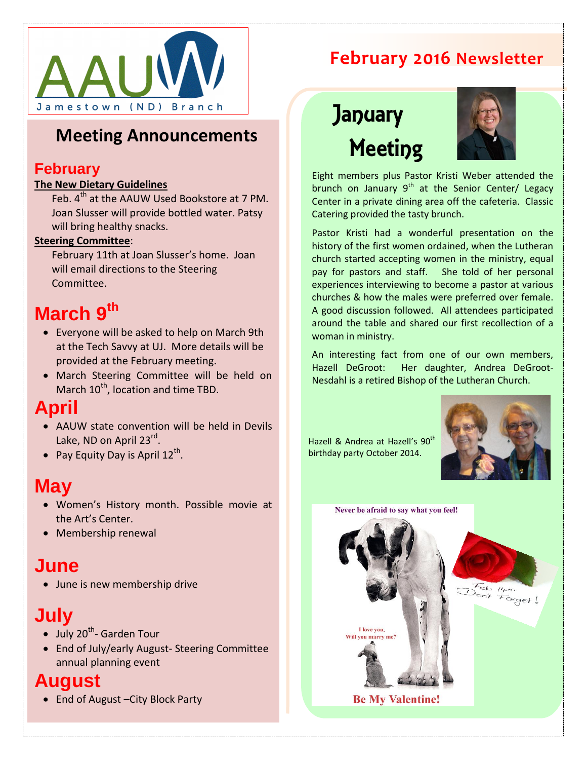

## **Meeting Announcements**<br> **Meeting**

### **February**

### **The New Dietary Guidelines**

Feb. 4<sup>th</sup> at the AAUW Used Bookstore at 7 PM. Joan Slusser will provide bottled water. Patsy will bring healthy snacks.

### **Steering Committee**:

February 11th at Joan Slusser's home. Joan will email directions to the Steering Committee.

## **March 9 th**

- Everyone will be asked to help on March 9th at the Tech Savvy at UJ. More details will be provided at the February meeting.
- March Steering Committee will be held on March  $10^{th}$ , location and time TBD.

## **April**

- AAUW state convention will be held in Devils Lake, ND on April 23<sup>rd</sup>.
- Pay Equity Day is April  $12^{th}$ .

## **May**

- Women's History month. Possible movie at the Art's Center.
- Membership renewal

## **June**

• June is new membership drive

## **July**

- July 20<sup>th</sup>- Garden Tour
- End of July/early August- Steering Committee annual planning event

## **August**

• End of August – City Block Party

## **February 2016 Newsletter**

# **January**



Eight members plus Pastor Kristi Weber attended the brunch on January 9<sup>th</sup> at the Senior Center/ Legacy Center in a private dining area off the cafeteria. Classic Catering provided the tasty brunch.

Pastor Kristi had a wonderful presentation on the history of the first women ordained, when the Lutheran church started accepting women in the ministry, equal pay for pastors and staff. She told of her personal experiences interviewing to become a pastor at various churches & how the males were preferred over female. A good discussion followed. All attendees participated around the table and shared our first recollection of a woman in ministry.

 An interesting fact from one of our own members, Hazell DeGroot: Her daughter, Andrea DeGroot-Nesdahl is a retired Bishop of the Lutheran Church.

Hazell & Andrea at Hazell's 90<sup>th</sup> birthday party October 2014.